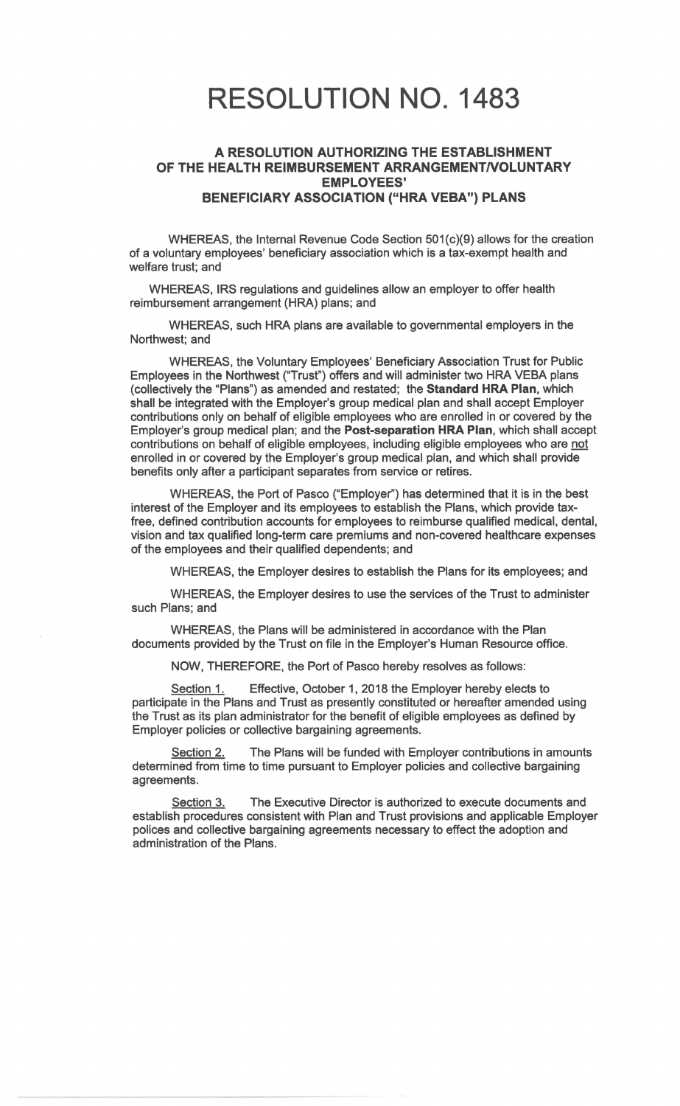## RESOLUTION NO. 1483

## **A RESOLUTION AUTHORIZING** THE **ESTABLISHMENT OF THE HEALTH REIMBURSEMENT ARRANGEMENT/VOLUNTARY EMPLOYEES' BENEFICIARY ASSOCIATION ("HRA VEBA") PLANS**

WHEREAS, the Internal Revenue Code Section 501(c)(9) allows for the creation of a voluntary employees' beneficiary association which is a tax-exempt health and welfare trust; and

WHEREAS, IRS regulations and guidelines allow an employer to offer health reimbursement arrangement (HRA) plans; and

WHEREAS, such HRA plans are available to governmental employers in the Northwest; and

WHEREAS, the Voluntary Employees' Beneficiary Association Trust for Public Employees in the Northwest ("Trust") offers and will administer two HRA VEBA plans (collectively the "Plans") as amended and restated; the **Standard HRA Plan,** which shall be integrated with the Employer's group medical plan and shall accept Employer contributions only on behalf of eligible employees who are enrolled in or covered by the Employer's group medical plan; and the **Post-separation HRA Plan,** which shall accept contributions on behalf of eligible employees, including eligible employees who are not enrolled in or covered by the Employer's group medical plan, and which shall provide benefits only after a participant separates from service or retires.

WHEREAS, the Port of Pasco ("Employer'') has determined that it is in the best interest of the Employer and its employees to establish the Plans, which provide taxfree, defined contribution accounts for employees to reimburse qualified medical, dental, vision and tax qualified long-term care premiums and non-covered healthcare expenses of the employees and their qualified dependents; and

WHEREAS, the Employer desires to establish the Plans for its employees; and

WHEREAS, the Employer desires to use the services of the Trust to administer such Plans; and

WHEREAS, the Plans will be administered in accordance with the Plan documents provided by the Trust on file in the Employer's Human Resource office.

NOW, THEREFORE, the Port of Pasco hereby resolves as follows:

Section 1. Effective, October 1, 2018 the Employer hereby elects to participate in the Plans and Trust as presently constituted or hereafter amended using the Trust as its plan administrator for the benefit of eligible employees as defined by Employer policies or collective bargaining agreements.

Section 2. The Plans will be funded with Employer contributions in amounts determined from time to time pursuant to Employer policies and collective bargaining agreements.

Section 3. The Executive Director is authorized to execute documents and establish procedures consistent with Plan and Trust provisions and applicable Employer polices and collective bargaining agreements necessary to effect the adoption and administration of the Plans.